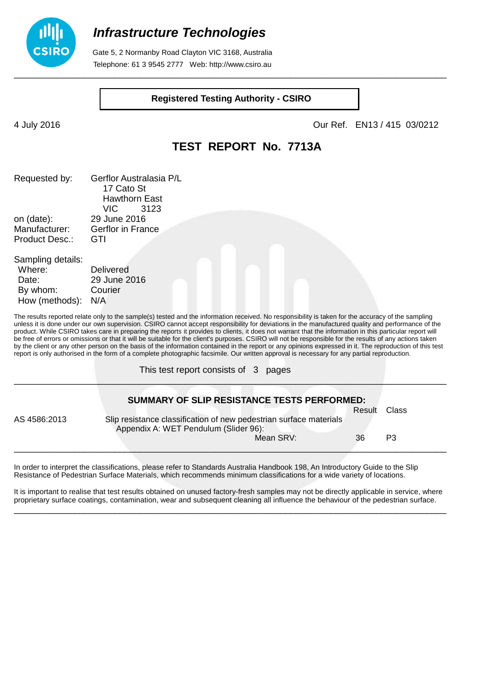

## **Infrastructure Technologies**

 Gate 5, 2 Normanby Road Clayton VIC 3168, Australia Telephone: 61 3 9545 2777 Web: http://www.csiro.au

#### **Registered Testing Authority - CSIRO**

\_\_\_\_\_\_\_\_\_\_\_\_\_\_\_\_\_\_\_\_\_\_\_\_\_\_\_\_\_\_\_\_\_\_\_\_\_\_\_\_\_\_\_\_\_\_\_\_\_\_\_\_\_\_\_\_\_\_\_\_\_\_\_\_\_\_\_\_\_\_\_\_\_\_\_\_\_\_\_\_\_\_\_\_\_\_

How (methods): N/A

4 July 2016 Our Ref. EN13 / 415 03/0212

### **TEST REPORT No. 7713A**

| Requested by:         | Gerflor Australasia P/L  |  |  |  |  |
|-----------------------|--------------------------|--|--|--|--|
|                       | 17 Cato St               |  |  |  |  |
|                       | <b>Hawthorn East</b>     |  |  |  |  |
|                       | VIC<br>3123              |  |  |  |  |
| on (date):            | 29 June 2016             |  |  |  |  |
| Manufacturer:         | <b>Gerflor in France</b> |  |  |  |  |
| <b>Product Desc.:</b> | GTI                      |  |  |  |  |
| Sampling details:     |                          |  |  |  |  |
| Where:                | <b>Delivered</b>         |  |  |  |  |
| Date:                 | 29 June 2016             |  |  |  |  |
| By whom:              | Courier                  |  |  |  |  |

The results reported relate only to the sample(s) tested and the information received. No responsibility is taken for the accuracy of the sampling unless it is done under our own supervision. CSIRO cannot accept responsibility for deviations in the manufactured quality and performance of the product. While CSIRO takes care in preparing the reports it provides to clients, it does not warrant that the information in this particular report will be free of errors or omissions or that it will be suitable for the client's purposes. CSIRO will not be responsible for the results of any actions taken by the client or any other person on the basis of the information contained in the report or any opinions expressed in it. The reproduction of this test report is only authorised in the form of a complete photographic facsimile. Our written approval is necessary for any partial reproduction.

This test report consists of 3 pages

|              | <b>SUMMARY OF SLIP RESISTANCE TESTS PERFORMED:</b>                                                          |        |       |
|--------------|-------------------------------------------------------------------------------------------------------------|--------|-------|
|              |                                                                                                             | Result | Class |
| AS 4586:2013 | Slip resistance classification of new pedestrian surface materials<br>Appendix A: WET Pendulum (Slider 96): |        |       |
|              | Mean SRV:                                                                                                   | 36     | P3    |

\_\_\_\_\_\_\_\_\_\_\_\_\_\_\_\_\_\_\_\_\_\_\_\_\_\_\_\_\_\_\_\_\_\_\_\_\_\_\_\_\_\_\_\_\_\_\_\_\_\_\_\_\_\_\_\_\_\_\_\_\_\_\_\_\_\_\_\_\_\_\_\_\_\_\_\_\_\_\_\_\_\_\_\_\_\_

In order to interpret the classifications, please refer to Standards Australia Handbook 198, An Introductory Guide to the Slip Resistance of Pedestrian Surface Materials, which recommends minimum classifications for a wide variety of locations.

It is important to realise that test results obtained on unused factory-fresh samples may not be directly applicable in service, where proprietary surface coatings, contamination, wear and subsequent cleaning all influence the behaviour of the pedestrian surface. \_\_\_\_\_\_\_\_\_\_\_\_\_\_\_\_\_\_\_\_\_\_\_\_\_\_\_\_\_\_\_\_\_\_\_\_\_\_\_\_\_\_\_\_\_\_\_\_\_\_\_\_\_\_\_\_\_\_\_\_\_\_\_\_\_\_\_\_\_\_\_\_\_\_\_\_\_\_\_\_\_\_\_\_\_\_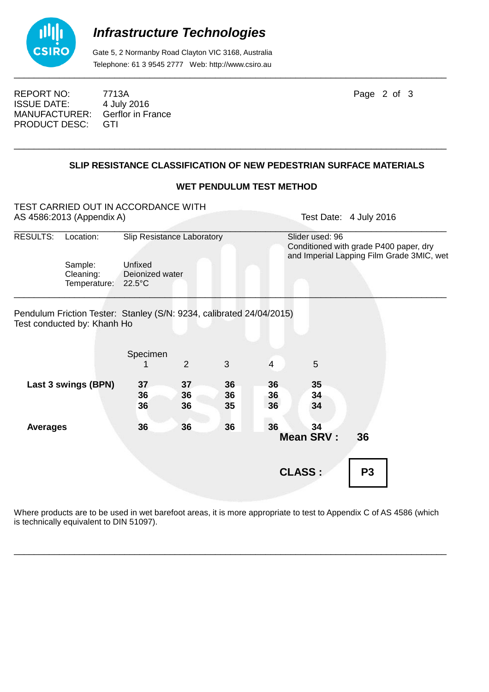

# **Infrastructure Technologies**

 Gate 5, 2 Normanby Road Clayton VIC 3168, Australia Telephone: 61 3 9545 2777 Web: http://www.csiro.au

REPORT NO: 7713A Page 2 of 3 ISSUE DATE: 4 July 2016<br>MANUFACTURER: Gerflor in France MANUFACTURER: PRODUCT DESC: GTI

### **SLIP RESISTANCE CLASSIFICATION OF NEW PEDESTRIAN SURFACE MATERIALS**

\_\_\_\_\_\_\_\_\_\_\_\_\_\_\_\_\_\_\_\_\_\_\_\_\_\_\_\_\_\_\_\_\_\_\_\_\_\_\_\_\_\_\_\_\_\_\_\_\_\_\_\_\_\_\_\_\_\_\_\_\_\_\_\_\_\_\_\_\_\_\_\_\_\_\_\_\_\_\_\_\_\_\_\_\_\_

#### **WET PENDULUM TEST METHOD**

| TEST CARRIED OUT IN ACCORDANCE WITH<br>AS 4586:2013 (Appendix A) |                                                                                                     |                                                                              |                |                |                | Test Date: 4 July 2016                                                                                 |                |  |  |
|------------------------------------------------------------------|-----------------------------------------------------------------------------------------------------|------------------------------------------------------------------------------|----------------|----------------|----------------|--------------------------------------------------------------------------------------------------------|----------------|--|--|
| <b>RESULTS:</b>                                                  | Location:                                                                                           | Slip Resistance Laboratory<br>Unfixed<br>Deionized water<br>$22.5^{\circ}$ C |                |                |                | Slider used: 96<br>Conditioned with grade P400 paper, dry<br>and Imperial Lapping Film Grade 3MIC, wet |                |  |  |
|                                                                  | Sample:<br>Cleaning:<br>Temperature:                                                                |                                                                              |                |                |                |                                                                                                        |                |  |  |
|                                                                  | Pendulum Friction Tester: Stanley (S/N: 9234, calibrated 24/04/2015)<br>Test conducted by: Khanh Ho |                                                                              |                |                |                |                                                                                                        |                |  |  |
|                                                                  |                                                                                                     | Specimen                                                                     | 2              | 3              | $\overline{4}$ | 5                                                                                                      |                |  |  |
|                                                                  | Last 3 swings (BPN)                                                                                 | 37<br>36<br>36                                                               | 37<br>36<br>36 | 36<br>36<br>35 | 36<br>36<br>36 | 35 <sub>5</sub><br>34<br>34                                                                            |                |  |  |
| <b>Averages</b>                                                  |                                                                                                     | 36                                                                           | 36             | 36             | 36             | 34<br><b>Mean SRV:</b>                                                                                 | 36             |  |  |
|                                                                  |                                                                                                     |                                                                              |                |                |                | <b>CLASS:</b>                                                                                          | P <sub>3</sub> |  |  |

Where products are to be used in wet barefoot areas, it is more appropriate to test to Appendix C of AS 4586 (which is technically equivalent to DIN 51097).

\_\_\_\_\_\_\_\_\_\_\_\_\_\_\_\_\_\_\_\_\_\_\_\_\_\_\_\_\_\_\_\_\_\_\_\_\_\_\_\_\_\_\_\_\_\_\_\_\_\_\_\_\_\_\_\_\_\_\_\_\_\_\_\_\_\_\_\_\_\_\_\_\_\_\_\_\_\_\_\_\_\_\_\_\_\_